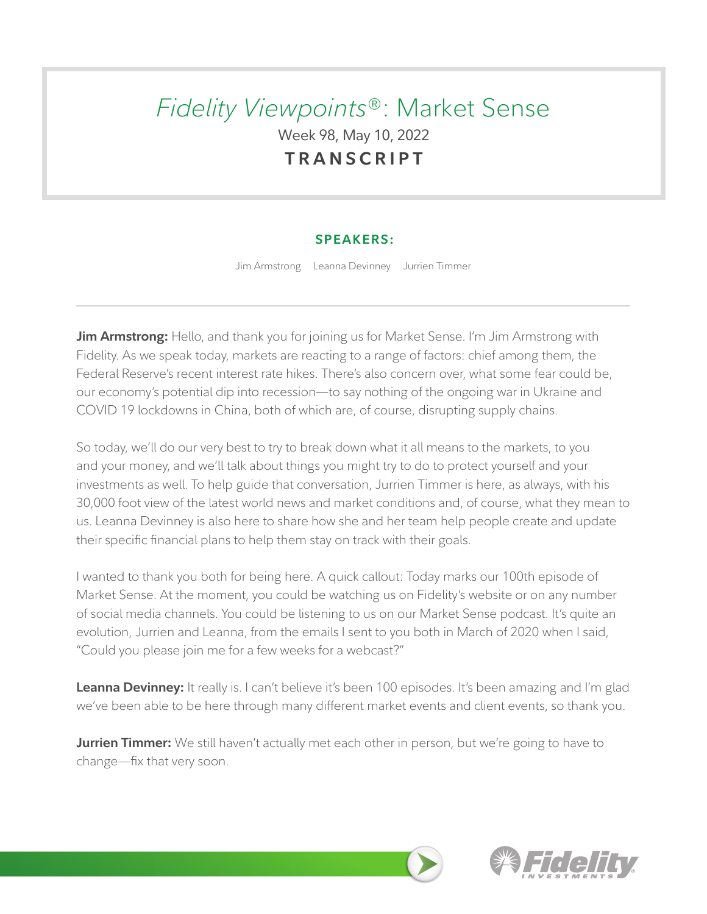# *Fidelity Viewpoints*®: Market Sense Week 98, May 10, 2022 **TRANSCRIPT**

## **SPEAKERS:**

Jim Armstrong Leanna Devinney Jurrien Timmer

**Jim Armstrong:** Hello, and thank you for joining us for Market Sense. I'm Jim Armstrong with Fidelity. As we speak today, markets are reacting to a range of factors: chief among them, the Federal Reserve's recent interest rate hikes. There's also concern over, what some fear could be, our economy's potential dip into recession—to say nothing of the ongoing war in Ukraine and COVID 19 lockdowns in China, both of which are, of course, disrupting supply chains.

So today, we'll do our very best to try to break down what it all means to the markets, to you and your money, and we'll talk about things you might try to do to protect yourself and your investments as well. To help guide that conversation, Jurrien Timmer is here, as always, with his 30,000 foot view of the latest world news and market conditions and, of course, what they mean to us. Leanna Devinney is also here to share how she and her team help people create and update their specific financial plans to help them stay on track with their goals.

I wanted to thank you both for being here. A quick callout: Today marks our 100th episode of Market Sense. At the moment, you could be watching us on Fidelity's website or on any number of social media channels. You could be listening to us on our Market Sense podcast. It's quite an evolution, Jurrien and Leanna, from the emails I sent to you both in March of 2020 when I said, "Could you please join me for a few weeks for a webcast?"

**Leanna Devinney:** It really is. I can't believe it's been 100 episodes. It's been amazing and I'm glad we've been able to be here through many different market events and client events, so thank you.

**Jurrien Timmer:** We still haven't actually met each other in person, but we're going to have to change—fix that very soon.

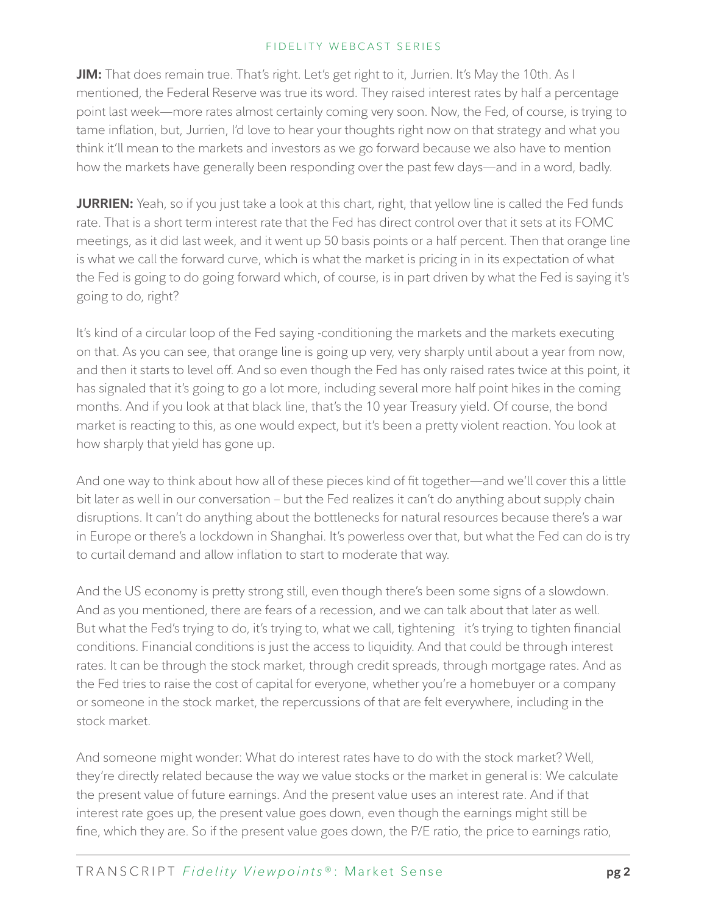**JIM:** That does remain true. That's right. Let's get right to it, Jurrien. It's May the 10th. As I mentioned, the Federal Reserve was true its word. They raised interest rates by half a percentage point last week—more rates almost certainly coming very soon. Now, the Fed, of course, is trying to tame inflation, but, Jurrien, I'd love to hear your thoughts right now on that strategy and what you think it'll mean to the markets and investors as we go forward because we also have to mention how the markets have generally been responding over the past few days—and in a word, badly.

**JURRIEN:** Yeah, so if you just take a look at this chart, right, that yellow line is called the Fed funds rate. That is a short term interest rate that the Fed has direct control over that it sets at its FOMC meetings, as it did last week, and it went up 50 basis points or a half percent. Then that orange line is what we call the forward curve, which is what the market is pricing in in its expectation of what the Fed is going to do going forward which, of course, is in part driven by what the Fed is saying it's going to do, right?

It's kind of a circular loop of the Fed saying -conditioning the markets and the markets executing on that. As you can see, that orange line is going up very, very sharply until about a year from now, and then it starts to level off. And so even though the Fed has only raised rates twice at this point, it has signaled that it's going to go a lot more, including several more half point hikes in the coming months. And if you look at that black line, that's the 10 year Treasury yield. Of course, the bond market is reacting to this, as one would expect, but it's been a pretty violent reaction. You look at how sharply that yield has gone up.

And one way to think about how all of these pieces kind of fit together—and we'll cover this a little bit later as well in our conversation – but the Fed realizes it can't do anything about supply chain disruptions. It can't do anything about the bottlenecks for natural resources because there's a war in Europe or there's a lockdown in Shanghai. It's powerless over that, but what the Fed can do is try to curtail demand and allow inflation to start to moderate that way.

And the US economy is pretty strong still, even though there's been some signs of a slowdown. And as you mentioned, there are fears of a recession, and we can talk about that later as well. But what the Fed's trying to do, it's trying to, what we call, tightening it's trying to tighten financial conditions. Financial conditions is just the access to liquidity. And that could be through interest rates. It can be through the stock market, through credit spreads, through mortgage rates. And as the Fed tries to raise the cost of capital for everyone, whether you're a homebuyer or a company or someone in the stock market, the repercussions of that are felt everywhere, including in the stock market.

And someone might wonder: What do interest rates have to do with the stock market? Well, they're directly related because the way we value stocks or the market in general is: We calculate the present value of future earnings. And the present value uses an interest rate. And if that interest rate goes up, the present value goes down, even though the earnings might still be fine, which they are. So if the present value goes down, the P/E ratio, the price to earnings ratio,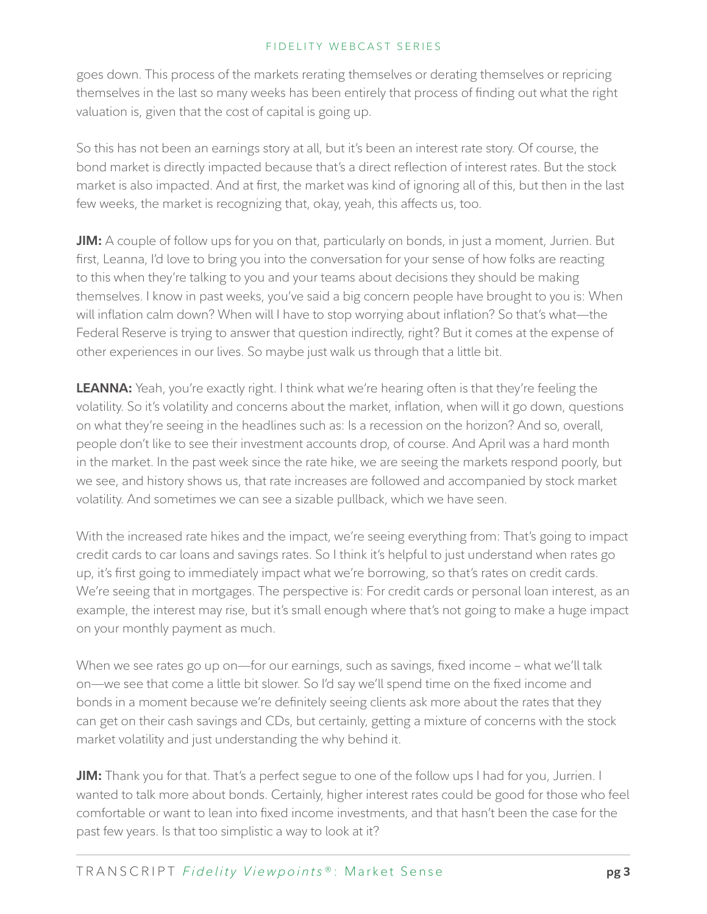goes down. This process of the markets rerating themselves or derating themselves or repricing themselves in the last so many weeks has been entirely that process of finding out what the right valuation is, given that the cost of capital is going up.

So this has not been an earnings story at all, but it's been an interest rate story. Of course, the bond market is directly impacted because that's a direct reflection of interest rates. But the stock market is also impacted. And at first, the market was kind of ignoring all of this, but then in the last few weeks, the market is recognizing that, okay, yeah, this affects us, too.

**JIM:** A couple of follow ups for you on that, particularly on bonds, in just a moment, Jurrien. But first, Leanna, I'd love to bring you into the conversation for your sense of how folks are reacting to this when they're talking to you and your teams about decisions they should be making themselves. I know in past weeks, you've said a big concern people have brought to you is: When will inflation calm down? When will I have to stop worrying about inflation? So that's what—the Federal Reserve is trying to answer that question indirectly, right? But it comes at the expense of other experiences in our lives. So maybe just walk us through that a little bit.

**LEANNA:** Yeah, you're exactly right. I think what we're hearing often is that they're feeling the volatility. So it's volatility and concerns about the market, inflation, when will it go down, questions on what they're seeing in the headlines such as: Is a recession on the horizon? And so, overall, people don't like to see their investment accounts drop, of course. And April was a hard month in the market. In the past week since the rate hike, we are seeing the markets respond poorly, but we see, and history shows us, that rate increases are followed and accompanied by stock market volatility. And sometimes we can see a sizable pullback, which we have seen.

With the increased rate hikes and the impact, we're seeing everything from: That's going to impact credit cards to car loans and savings rates. So I think it's helpful to just understand when rates go up, it's first going to immediately impact what we're borrowing, so that's rates on credit cards. We're seeing that in mortgages. The perspective is: For credit cards or personal loan interest, as an example, the interest may rise, but it's small enough where that's not going to make a huge impact on your monthly payment as much.

When we see rates go up on—for our earnings, such as savings, fixed income – what we'll talk on—we see that come a little bit slower. So I'd say we'll spend time on the fixed income and bonds in a moment because we're definitely seeing clients ask more about the rates that they can get on their cash savings and CDs, but certainly, getting a mixture of concerns with the stock market volatility and just understanding the why behind it.

**JIM:** Thank you for that. That's a perfect segue to one of the follow ups I had for you, Jurrien. I wanted to talk more about bonds. Certainly, higher interest rates could be good for those who feel comfortable or want to lean into fixed income investments, and that hasn't been the case for the past few years. Is that too simplistic a way to look at it?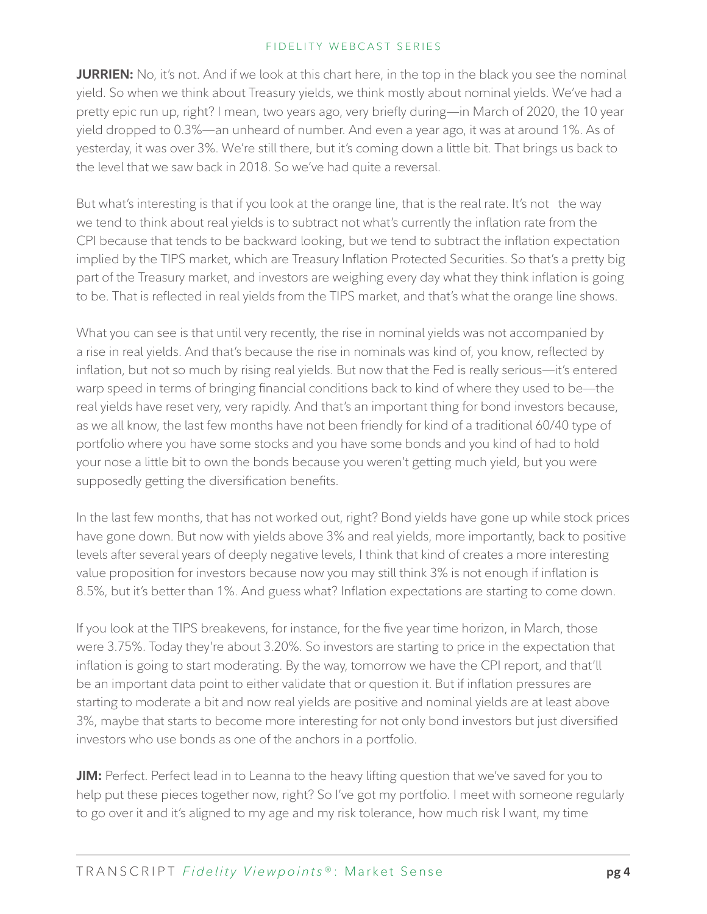**JURRIEN:** No, it's not. And if we look at this chart here, in the top in the black you see the nominal yield. So when we think about Treasury yields, we think mostly about nominal yields. We've had a pretty epic run up, right? I mean, two years ago, very briefly during—in March of 2020, the 10 year yield dropped to 0.3%—an unheard of number. And even a year ago, it was at around 1%. As of yesterday, it was over 3%. We're still there, but it's coming down a little bit. That brings us back to the level that we saw back in 2018. So we've had quite a reversal.

But what's interesting is that if you look at the orange line, that is the real rate. It's not the way we tend to think about real yields is to subtract not what's currently the inflation rate from the CPI because that tends to be backward looking, but we tend to subtract the inflation expectation implied by the TIPS market, which are Treasury Inflation Protected Securities. So that's a pretty big part of the Treasury market, and investors are weighing every day what they think inflation is going to be. That is reflected in real yields from the TIPS market, and that's what the orange line shows.

What you can see is that until very recently, the rise in nominal yields was not accompanied by a rise in real yields. And that's because the rise in nominals was kind of, you know, reflected by inflation, but not so much by rising real yields. But now that the Fed is really serious—it's entered warp speed in terms of bringing financial conditions back to kind of where they used to be—the real yields have reset very, very rapidly. And that's an important thing for bond investors because, as we all know, the last few months have not been friendly for kind of a traditional 60/40 type of portfolio where you have some stocks and you have some bonds and you kind of had to hold your nose a little bit to own the bonds because you weren't getting much yield, but you were supposedly getting the diversification benefits.

In the last few months, that has not worked out, right? Bond yields have gone up while stock prices have gone down. But now with yields above 3% and real yields, more importantly, back to positive levels after several years of deeply negative levels, I think that kind of creates a more interesting value proposition for investors because now you may still think 3% is not enough if inflation is 8.5%, but it's better than 1%. And guess what? Inflation expectations are starting to come down.

If you look at the TIPS breakevens, for instance, for the five year time horizon, in March, those were 3.75%. Today they're about 3.20%. So investors are starting to price in the expectation that inflation is going to start moderating. By the way, tomorrow we have the CPI report, and that'll be an important data point to either validate that or question it. But if inflation pressures are starting to moderate a bit and now real yields are positive and nominal yields are at least above 3%, maybe that starts to become more interesting for not only bond investors but just diversified investors who use bonds as one of the anchors in a portfolio.

**JIM:** Perfect. Perfect lead in to Leanna to the heavy lifting question that we've saved for you to help put these pieces together now, right? So I've got my portfolio. I meet with someone regularly to go over it and it's aligned to my age and my risk tolerance, how much risk I want, my time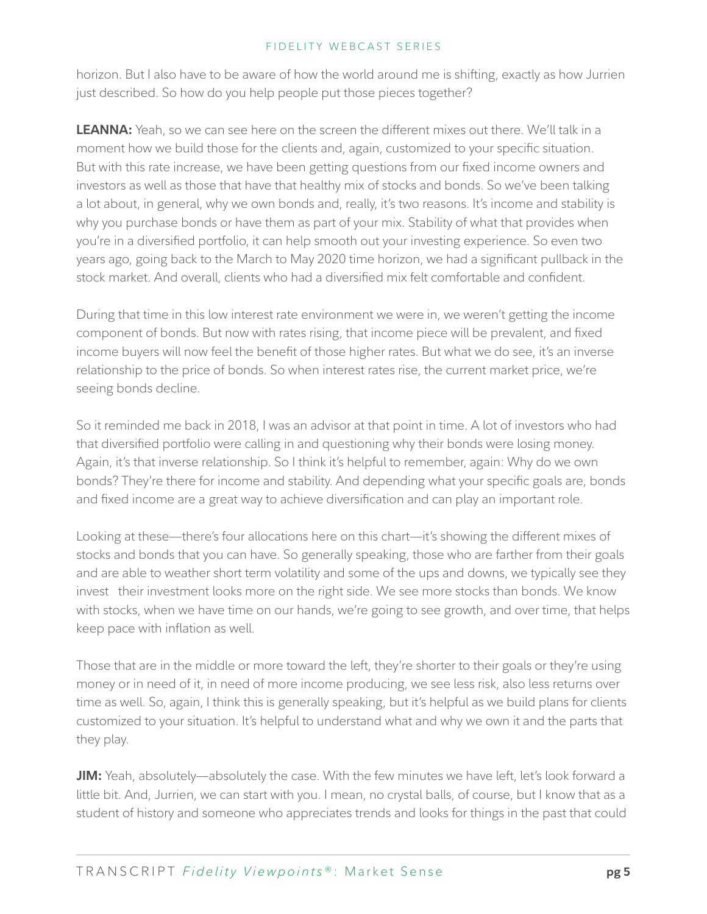horizon. But I also have to be aware of how the world around me is shifting, exactly as how Jurrien just described. So how do you help people put those pieces together?

**LEANNA:** Yeah, so we can see here on the screen the different mixes out there. We'll talk in a moment how we build those for the clients and, again, customized to your specific situation. But with this rate increase, we have been getting questions from our fixed income owners and investors as well as those that have that healthy mix of stocks and bonds. So we've been talking a lot about, in general, why we own bonds and, really, it's two reasons. It's income and stability is why you purchase bonds or have them as part of your mix. Stability of what that provides when you're in a diversified portfolio, it can help smooth out your investing experience. So even two years ago, going back to the March to May 2020 time horizon, we had a significant pullback in the stock market. And overall, clients who had a diversified mix felt comfortable and confident.

During that time in this low interest rate environment we were in, we weren't getting the income component of bonds. But now with rates rising, that income piece will be prevalent, and fixed income buyers will now feel the benefit of those higher rates. But what we do see, it's an inverse relationship to the price of bonds. So when interest rates rise, the current market price, we're seeing bonds decline.

So it reminded me back in 2018, I was an advisor at that point in time. A lot of investors who had that diversified portfolio were calling in and questioning why their bonds were losing money. Again, it's that inverse relationship. So I think it's helpful to remember, again: Why do we own bonds? They're there for income and stability. And depending what your specific goals are, bonds and fixed income are a great way to achieve diversification and can play an important role.

Looking at these—there's four allocations here on this chart—it's showing the different mixes of stocks and bonds that you can have. So generally speaking, those who are farther from their goals and are able to weather short term volatility and some of the ups and downs, we typically see they invest their investment looks more on the right side. We see more stocks than bonds. We know with stocks, when we have time on our hands, we're going to see growth, and over time, that helps keep pace with inflation as well.

Those that are in the middle or more toward the left, they're shorter to their goals or they're using money or in need of it, in need of more income producing, we see less risk, also less returns over time as well. So, again, I think this is generally speaking, but it's helpful as we build plans for clients customized to your situation. It's helpful to understand what and why we own it and the parts that they play.

**JIM:** Yeah, absolutely—absolutely the case. With the few minutes we have left, let's look forward a little bit. And, Jurrien, we can start with you. I mean, no crystal balls, of course, but I know that as a student of history and someone who appreciates trends and looks for things in the past that could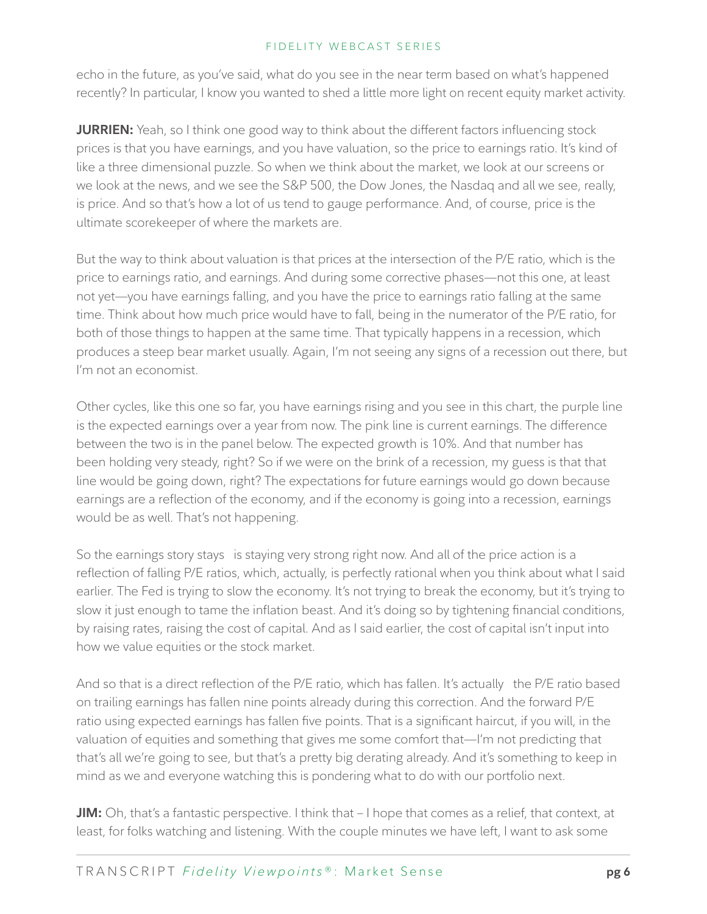echo in the future, as you've said, what do you see in the near term based on what's happened recently? In particular, I know you wanted to shed a little more light on recent equity market activity.

**JURRIEN:** Yeah, so I think one good way to think about the different factors influencing stock prices is that you have earnings, and you have valuation, so the price to earnings ratio. It's kind of like a three dimensional puzzle. So when we think about the market, we look at our screens or we look at the news, and we see the S&P 500, the Dow Jones, the Nasdaq and all we see, really, is price. And so that's how a lot of us tend to gauge performance. And, of course, price is the ultimate scorekeeper of where the markets are.

But the way to think about valuation is that prices at the intersection of the P/E ratio, which is the price to earnings ratio, and earnings. And during some corrective phases—not this one, at least not yet—you have earnings falling, and you have the price to earnings ratio falling at the same time. Think about how much price would have to fall, being in the numerator of the P/E ratio, for both of those things to happen at the same time. That typically happens in a recession, which produces a steep bear market usually. Again, I'm not seeing any signs of a recession out there, but I'm not an economist.

Other cycles, like this one so far, you have earnings rising and you see in this chart, the purple line is the expected earnings over a year from now. The pink line is current earnings. The difference between the two is in the panel below. The expected growth is 10%. And that number has been holding very steady, right? So if we were on the brink of a recession, my guess is that that line would be going down, right? The expectations for future earnings would go down because earnings are a reflection of the economy, and if the economy is going into a recession, earnings would be as well. That's not happening.

So the earnings story stays is staying very strong right now. And all of the price action is a reflection of falling P/E ratios, which, actually, is perfectly rational when you think about what I said earlier. The Fed is trying to slow the economy. It's not trying to break the economy, but it's trying to slow it just enough to tame the inflation beast. And it's doing so by tightening financial conditions, by raising rates, raising the cost of capital. And as I said earlier, the cost of capital isn't input into how we value equities or the stock market.

And so that is a direct reflection of the P/E ratio, which has fallen. It's actually the P/E ratio based on trailing earnings has fallen nine points already during this correction. And the forward P/E ratio using expected earnings has fallen five points. That is a significant haircut, if you will, in the valuation of equities and something that gives me some comfort that—I'm not predicting that that's all we're going to see, but that's a pretty big derating already. And it's something to keep in mind as we and everyone watching this is pondering what to do with our portfolio next.

**JIM:** Oh, that's a fantastic perspective. I think that – I hope that comes as a relief, that context, at least, for folks watching and listening. With the couple minutes we have left, I want to ask some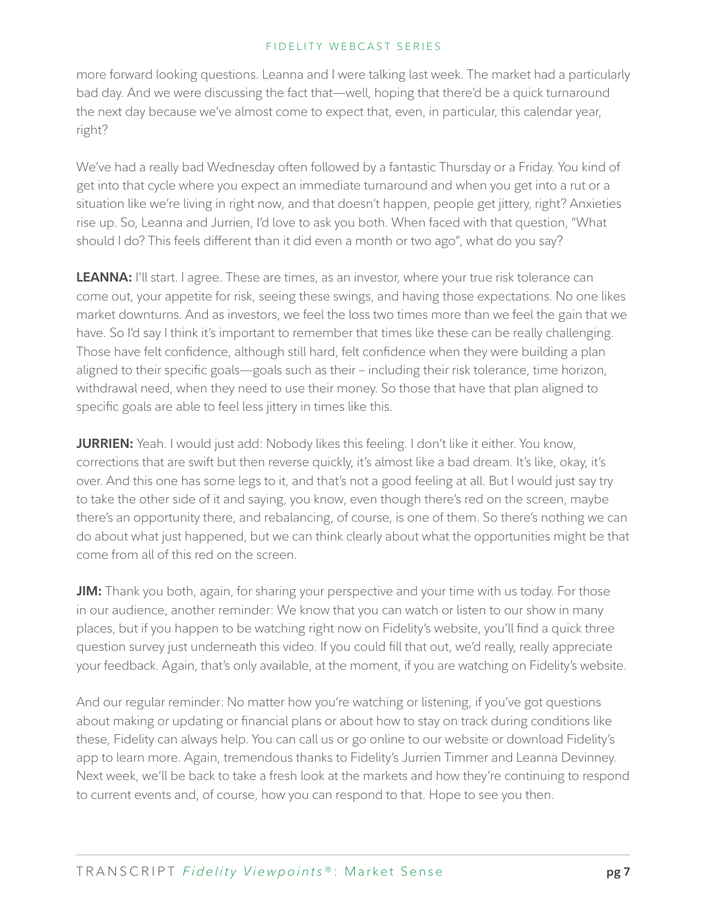more forward looking questions. Leanna and I were talking last week. The market had a particularly bad day. And we were discussing the fact that—well, hoping that there'd be a quick turnaround the next day because we've almost come to expect that, even, in particular, this calendar year, right?

We've had a really bad Wednesday often followed by a fantastic Thursday or a Friday. You kind of get into that cycle where you expect an immediate turnaround and when you get into a rut or a situation like we're living in right now, and that doesn't happen, people get jittery, right? Anxieties rise up. So, Leanna and Jurrien, I'd love to ask you both. When faced with that question, "What should I do? This feels different than it did even a month or two ago", what do you say?

**LEANNA:** I'll start. I agree. These are times, as an investor, where your true risk tolerance can come out, your appetite for risk, seeing these swings, and having those expectations. No one likes market downturns. And as investors, we feel the loss two times more than we feel the gain that we have. So I'd say I think it's important to remember that times like these can be really challenging. Those have felt confidence, although still hard, felt confidence when they were building a plan aligned to their specific goals—goals such as their – including their risk tolerance, time horizon, withdrawal need, when they need to use their money. So those that have that plan aligned to specific goals are able to feel less jittery in times like this.

**JURRIEN:** Yeah. I would just add: Nobody likes this feeling. I don't like it either. You know, corrections that are swift but then reverse quickly, it's almost like a bad dream. It's like, okay, it's over. And this one has some legs to it, and that's not a good feeling at all. But I would just say try to take the other side of it and saying, you know, even though there's red on the screen, maybe there's an opportunity there, and rebalancing, of course, is one of them. So there's nothing we can do about what just happened, but we can think clearly about what the opportunities might be that come from all of this red on the screen.

**JIM:** Thank you both, again, for sharing your perspective and your time with us today. For those in our audience, another reminder: We know that you can watch or listen to our show in many places, but if you happen to be watching right now on Fidelity's website, you'll find a quick three question survey just underneath this video. If you could fill that out, we'd really, really appreciate your feedback. Again, that's only available, at the moment, if you are watching on Fidelity's website.

And our regular reminder: No matter how you're watching or listening, if you've got questions about making or updating or financial plans or about how to stay on track during conditions like these, Fidelity can always help. You can call us or go online to our website or download Fidelity's app to learn more. Again, tremendous thanks to Fidelity's Jurrien Timmer and Leanna Devinney. Next week, we'll be back to take a fresh look at the markets and how they're continuing to respond to current events and, of course, how you can respond to that. Hope to see you then.